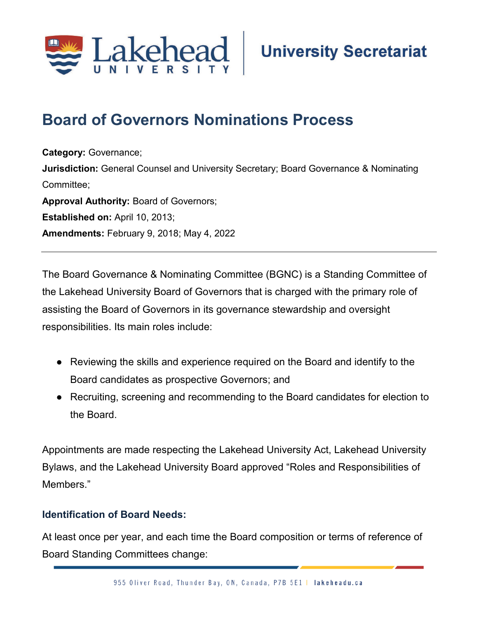

# **Board of Governors Nominations Process**

**Category:** Governance; **Jurisdiction:** General Counsel and University Secretary; Board Governance & Nominating Committee; **Approval Authority:** Board of Governors; **Established on:** April 10, 2013; **Amendments:** February 9, 2018; May 4, 2022

The Board Governance & Nominating Committee (BGNC) is a Standing Committee of the Lakehead University Board of Governors that is charged with the primary role of assisting the Board of Governors in its governance stewardship and oversight responsibilities. Its main roles include:

- Reviewing the skills and experience required on the Board and identify to the Board candidates as prospective Governors; and
- Recruiting, screening and recommending to the Board candidates for election to the Board.

Appointments are made respecting the Lakehead University Act, Lakehead University Bylaws, and the Lakehead University Board approved "Roles and Responsibilities of Members."

# **Identification of Board Needs:**

At least once per year, and each time the Board composition or terms of reference of Board Standing Committees change: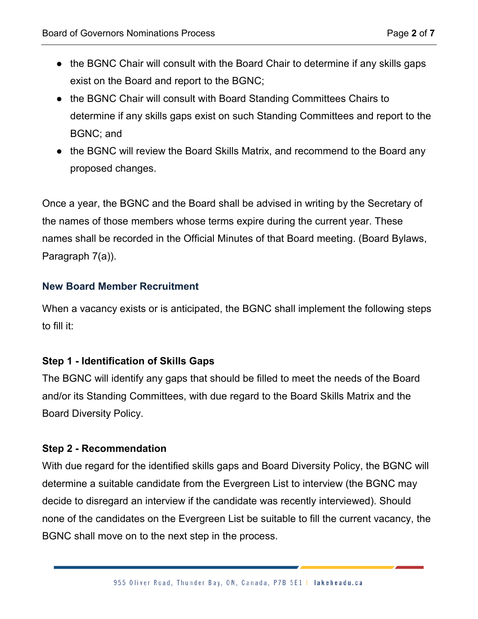- the BGNC Chair will consult with the Board Chair to determine if any skills gaps exist on the Board and report to the BGNC;
- the BGNC Chair will consult with Board Standing Committees Chairs to determine if any skills gaps exist on such Standing Committees and report to the BGNC; and
- the BGNC will review the Board Skills Matrix, and recommend to the Board any proposed changes.

Once a year, the BGNC and the Board shall be advised in writing by the Secretary of the names of those members whose terms expire during the current year. These names shall be recorded in the Official Minutes of that Board meeting. (Board Bylaws, Paragraph 7(a)).

# **New Board Member Recruitment**

When a vacancy exists or is anticipated, the BGNC shall implement the following steps to fill it:

# **Step 1 - Identification of Skills Gaps**

The BGNC will identify any gaps that should be filled to meet the needs of the Board and/or its Standing Committees, with due regard to the Board Skills Matrix and the Board Diversity Policy.

#### **Step 2 - Recommendation**

With due regard for the identified skills gaps and Board Diversity Policy, the BGNC will determine a suitable candidate from the Evergreen List to interview (the BGNC may decide to disregard an interview if the candidate was recently interviewed). Should none of the candidates on the Evergreen List be suitable to fill the current vacancy, the BGNC shall move on to the next step in the process.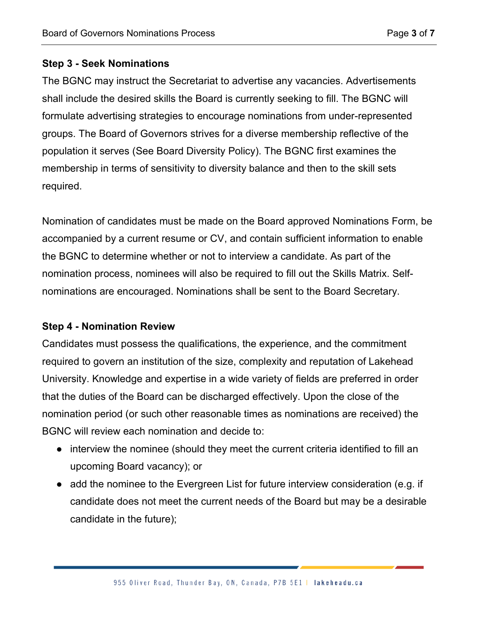#### **Step 3 - Seek Nominations**

The BGNC may instruct the Secretariat to advertise any vacancies. Advertisements shall include the desired skills the Board is currently seeking to fill. The BGNC will formulate advertising strategies to encourage nominations from under-represented groups. The Board of Governors strives for a diverse membership reflective of the population it serves (See Board Diversity Policy). The BGNC first examines the membership in terms of sensitivity to diversity balance and then to the skill sets required.

Nomination of candidates must be made on the Board approved Nominations Form, be accompanied by a current resume or CV, and contain sufficient information to enable the BGNC to determine whether or not to interview a candidate. As part of the nomination process, nominees will also be required to fill out the Skills Matrix. Selfnominations are encouraged. Nominations shall be sent to the Board Secretary.

#### **Step 4 - Nomination Review**

Candidates must possess the qualifications, the experience, and the commitment required to govern an institution of the size, complexity and reputation of Lakehead University. Knowledge and expertise in a wide variety of fields are preferred in order that the duties of the Board can be discharged effectively. Upon the close of the nomination period (or such other reasonable times as nominations are received) the BGNC will review each nomination and decide to:

- interview the nominee (should they meet the current criteria identified to fill an upcoming Board vacancy); or
- add the nominee to the Evergreen List for future interview consideration (e.g. if candidate does not meet the current needs of the Board but may be a desirable candidate in the future);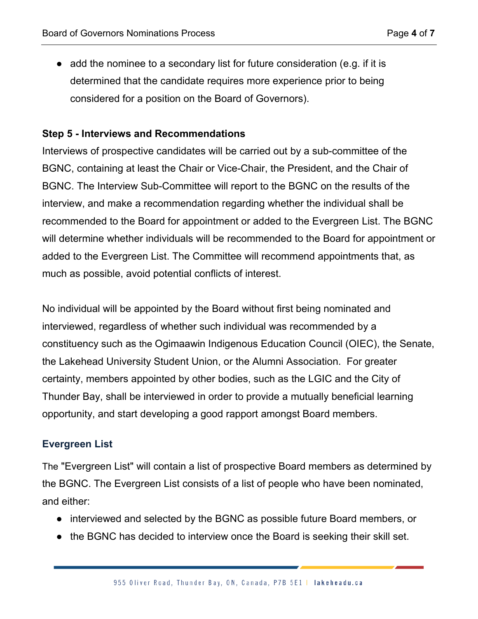● add the nominee to a secondary list for future consideration (e.g. if it is determined that the candidate requires more experience prior to being considered for a position on the Board of Governors).

#### **Step 5 - Interviews and Recommendations**

Interviews of prospective candidates will be carried out by a sub-committee of the BGNC, containing at least the Chair or Vice-Chair, the President, and the Chair of BGNC. The Interview Sub-Committee will report to the BGNC on the results of the interview, and make a recommendation regarding whether the individual shall be recommended to the Board for appointment or added to the Evergreen List. The BGNC will determine whether individuals will be recommended to the Board for appointment or added to the Evergreen List. The Committee will recommend appointments that, as much as possible, avoid potential conflicts of interest.

No individual will be appointed by the Board without first being nominated and interviewed, regardless of whether such individual was recommended by a constituency such as the Ogimaawin Indigenous Education Council (OIEC), the Senate, the Lakehead University Student Union, or the Alumni Association. For greater certainty, members appointed by other bodies, such as the LGIC and the City of Thunder Bay, shall be interviewed in order to provide a mutually beneficial learning opportunity, and start developing a good rapport amongst Board members.

# **Evergreen List**

The "Evergreen List" will contain a list of prospective Board members as determined by the BGNC. The Evergreen List consists of a list of people who have been nominated, and either:

- interviewed and selected by the BGNC as possible future Board members, or
- the BGNC has decided to interview once the Board is seeking their skill set.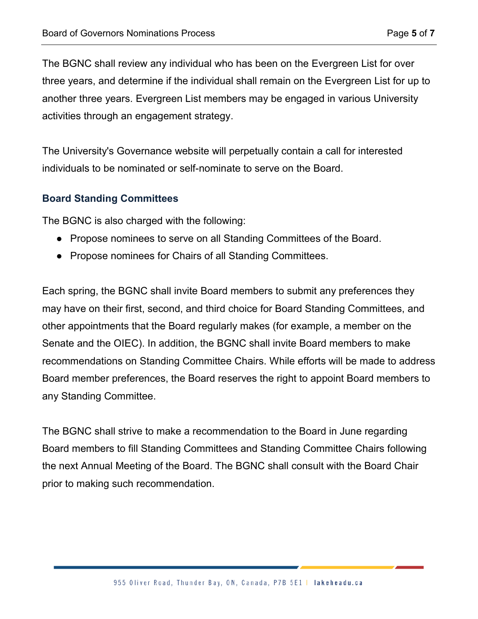The BGNC shall review any individual who has been on the Evergreen List for over three years, and determine if the individual shall remain on the Evergreen List for up to another three years. Evergreen List members may be engaged in various University activities through an engagement strategy.

The University's Governance website will perpetually contain a call for interested individuals to be nominated or self-nominate to serve on the Board.

#### **Board Standing Committees**

The BGNC is also charged with the following:

- Propose nominees to serve on all Standing Committees of the Board.
- Propose nominees for Chairs of all Standing Committees.

Each spring, the BGNC shall invite Board members to submit any preferences they may have on their first, second, and third choice for Board Standing Committees, and other appointments that the Board regularly makes (for example, a member on the Senate and the OIEC). In addition, the BGNC shall invite Board members to make recommendations on Standing Committee Chairs. While efforts will be made to address Board member preferences, the Board reserves the right to appoint Board members to any Standing Committee.

The BGNC shall strive to make a recommendation to the Board in June regarding Board members to fill Standing Committees and Standing Committee Chairs following the next Annual Meeting of the Board. The BGNC shall consult with the Board Chair prior to making such recommendation.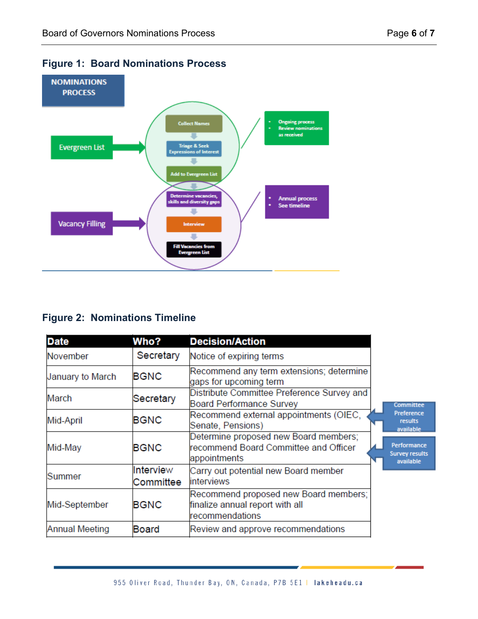

# **Figure 1: Board Nominations Process**

# **Figure 2: Nominations Timeline**

| <b>Date</b>      | Who?                   | <b>Decision/Action</b>                                                                         |  |                                                   |
|------------------|------------------------|------------------------------------------------------------------------------------------------|--|---------------------------------------------------|
| November         | Secretary              | Notice of expiring terms                                                                       |  |                                                   |
| January to March | <b>BGNC</b>            | Recommend any term extensions; determine<br>gaps for upcoming term                             |  |                                                   |
| March            | Secretary              | Distribute Committee Preference Survey and<br><b>Board Performance Survey</b>                  |  | Committee<br>Preference<br>results<br>available   |
| Mid-April        | <b>BGNC</b>            | Recommend external appointments (OIEC,<br>Senate, Pensions)                                    |  |                                                   |
| Mid-May          | <b>BGNC</b>            | Determine proposed new Board members;<br>recommend Board Committee and Officer<br>appointments |  | Performance<br><b>Survey results</b><br>available |
| Summer           | Interview<br>Committee | Carry out potential new Board member<br>linterviews                                            |  |                                                   |
| Mid-September    | <b>BGNC</b>            | Recommend proposed new Board members;<br>finalize annual report with all<br>recommendations    |  |                                                   |
| Annual Meeting   | <b>Board</b>           | Review and approve recommendations                                                             |  |                                                   |